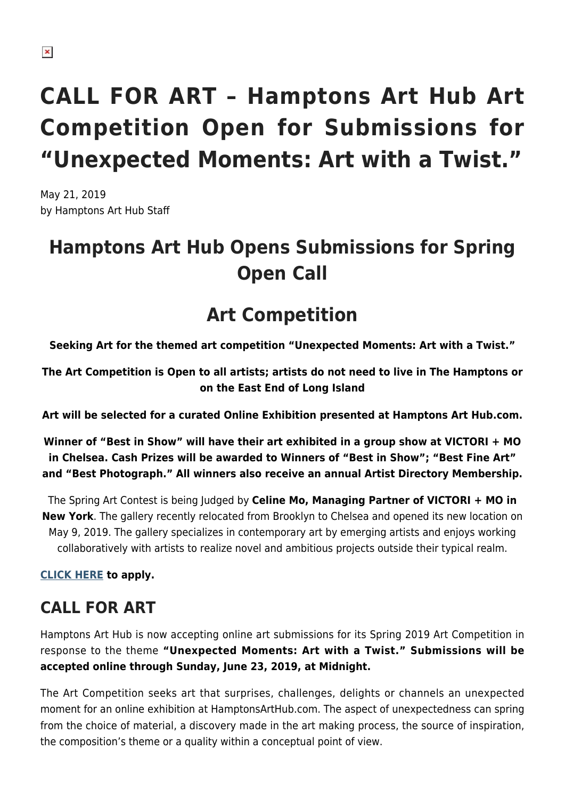# **CALL FOR ART – Hamptons Art Hub Art Competition Open for Submissions for "Unexpected Moments: Art with a Twist."**

May 21, 2019 by Hamptons Art Hub Staff

## **Hamptons Art Hub Opens Submissions for Spring Open Call**

## **Art Competition**

**Seeking Art for the themed art competition "Unexpected Moments: Art with a Twist."**

**The Art Competition is Open to all artists; artists do not need to live in The Hamptons or on the East End of Long Island**

**Art will be selected for a curated Online Exhibition presented at Hamptons Art Hub.com.**

**Winner of "Best in Show" will have their art exhibited in a group show at VICTORI + MO in Chelsea. Cash Prizes will be awarded to Winners of "Best in Show"; "Best Fine Art" and "Best Photograph." All winners also receive an annual Artist Directory Membership.**

The Spring Art Contest is being Judged by **Celine Mo, Managing Partner of VICTORI + MO in New York**. The gallery recently relocated from Brooklyn to Chelsea and opened its new location on May 9, 2019. The gallery specializes in contemporary art by emerging artists and enjoys working collaboratively with artists to realize novel and ambitious projects outside their typical realm.

**[CLICK HERE](https://hamptonsarthub.com/contests-apply-to-open-art-call/) to apply.**

## **CALL FOR ART**

Hamptons Art Hub is now accepting online art submissions for its Spring 2019 Art Competition in response to the theme **"Unexpected Moments: Art with a Twist." Submissions will be accepted online through Sunday, June 23, 2019, at Midnight.** 

The Art Competition seeks art that surprises, challenges, delights or channels an unexpected moment for an online exhibition at HamptonsArtHub.com. The aspect of unexpectedness can spring from the choice of material, a discovery made in the art making process, the source of inspiration, the composition's theme or a quality within a conceptual point of view.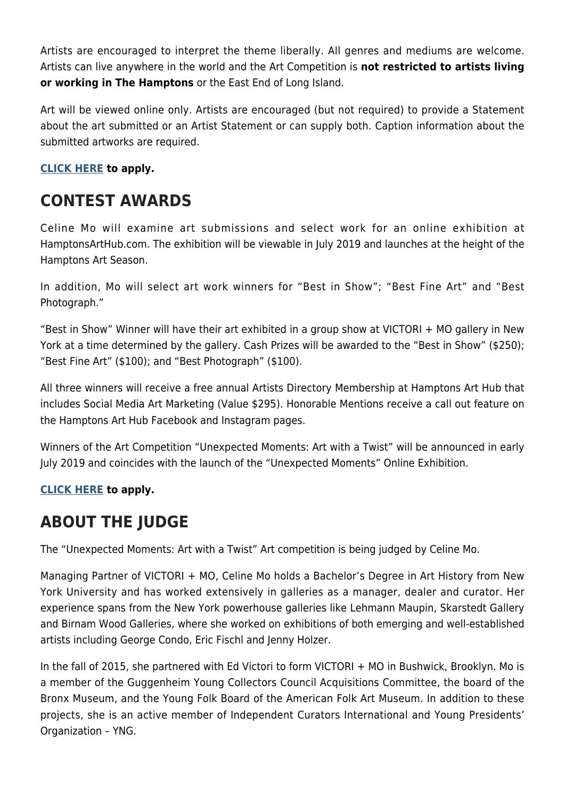Artists are encouraged to interpret the theme liberally. All genres and mediums are welcome. Artists can live anywhere in the world and the Art Competition is **not restricted to artists living or working in The Hamptons** or the East End of Long Island.

Art will be viewed online only. Artists are encouraged (but not required) to provide a Statement about the art submitted or an Artist Statement or can supply both. Caption information about the submitted artworks are required.

#### **[CLICK HERE](https://hamptonsarthub.com/contests-apply-to-open-art-call/) to apply.**

### **CONTEST AWARDS**

Celine Mo will examine art submissions and select work for an online exhibition at HamptonsArtHub.com. The exhibition will be viewable in July 2019 and launches at the height of the Hamptons Art Season.

In addition, Mo will select art work winners for "Best in Show"; "Best Fine Art" and "Best Photograph."

"Best in Show" Winner will have their art exhibited in a group show at VICTORI + MO gallery in New York at a time determined by the gallery. Cash Prizes will be awarded to the "Best in Show" (\$250); "Best Fine Art" (\$100); and "Best Photograph" (\$100).

All three winners will receive a free annual Artists Directory Membership at Hamptons Art Hub that includes Social Media Art Marketing (Value \$295). Honorable Mentions receive a call out feature on the Hamptons Art Hub Facebook and Instagram pages.

Winners of the Art Competition "Unexpected Moments: Art with a Twist" will be announced in early July 2019 and coincides with the launch of the "Unexpected Moments" Online Exhibition.

#### **[CLICK HERE](https://hamptonsarthub.com/contests-apply-to-open-art-call/) to apply.**

#### **ABOUT THE JUDGE**

The "Unexpected Moments: Art with a Twist" Art competition is being judged by Celine Mo.

Managing Partner of VICTORI + MO, Celine Mo holds a Bachelor's Degree in Art History from New York University and has worked extensively in galleries as a manager, dealer and curator. Her experience spans from the New York powerhouse galleries like Lehmann Maupin, Skarstedt Gallery and Birnam Wood Galleries, where she worked on exhibitions of both emerging and well-established artists including George Condo, Eric Fischl and Jenny Holzer.

In the fall of 2015, she partnered with Ed Victori to form VICTORI + MO in Bushwick, Brooklyn. Mo is a member of the Guggenheim Young Collectors Council Acquisitions Committee, the board of the Bronx Museum, and the Young Folk Board of the American Folk Art Museum. In addition to these projects, she is an active member of Independent Curators International and Young Presidents' Organization – YNG.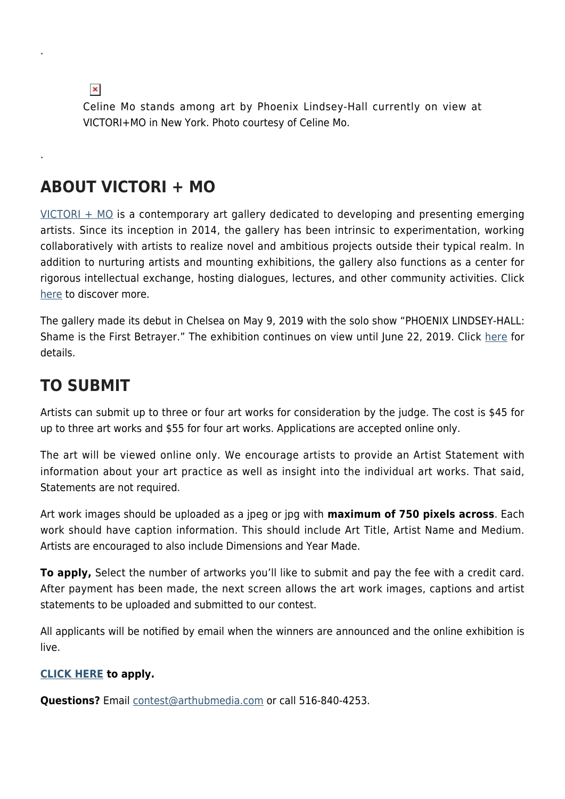$\pmb{\times}$ 

.

.

Celine Mo stands among art by Phoenix Lindsey-Hall currently on view at VICTORI+MO in New York. Photo courtesy of Celine Mo.

#### **ABOUT VICTORI + MO**

[VICTORI + MO](https://www.victorimo.com/) is a contemporary art gallery dedicated to developing and presenting emerging artists. Since its inception in 2014, the gallery has been intrinsic to experimentation, working collaboratively with artists to realize novel and ambitious projects outside their typical realm. In addition to nurturing artists and mounting exhibitions, the gallery also functions as a center for rigorous intellectual exchange, hosting dialogues, lectures, and other community activities. Click [here](https://www.victorimo.com/) to discover more.

The gallery made its debut in Chelsea on May 9, 2019 with the solo show "PHOENIX LINDSEY-HALL: Shame is the First Betrayer." The exhibition continues on view until June 22, 2019. Click [here](https://www.victorimo.com/shame-is-the-first-betrayer) for details.

#### **TO SUBMIT**

Artists can submit up to three or four art works for consideration by the judge. The cost is \$45 for up to three art works and \$55 for four art works. Applications are accepted online only.

The art will be viewed online only. We encourage artists to provide an Artist Statement with information about your art practice as well as insight into the individual art works. That said, Statements are not required.

Art work images should be uploaded as a jpeg or jpg with **maximum of 750 pixels across**. Each work should have caption information. This should include Art Title, Artist Name and Medium. Artists are encouraged to also include Dimensions and Year Made.

**To apply,** Select the number of artworks you'll like to submit and pay the fee with a credit card. After payment has been made, the next screen allows the art work images, captions and artist statements to be uploaded and submitted to our contest.

All applicants will be notified by email when the winners are announced and the online exhibition is live.

#### **[CLICK HERE](https://hamptonsarthub.com/contests-apply-to-open-art-call/) to apply.**

**Questions?** Email [contest@arthubmedia.com](mailto:contest@arthubmedia.com) or call 516-840-4253.